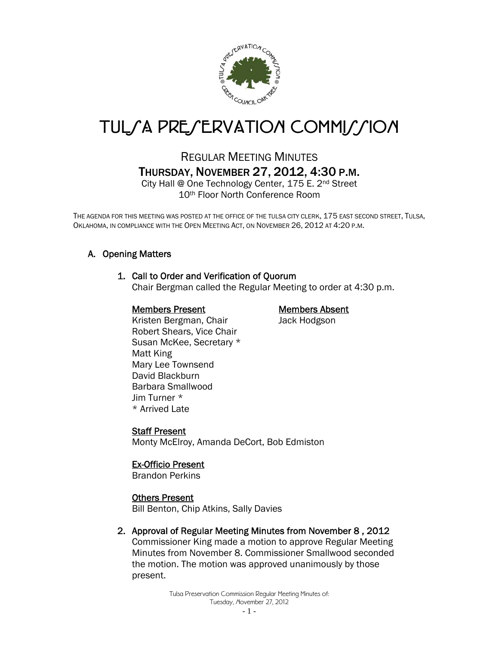

# TUL*SA PRESERVATION COMMISSION*

# REGULAR MEETING MINUTES THURSDAY, NOVEMBER 27, 2012, 4:30 P.M.

City Hall @ One Technology Center, 175 E. 2nd Street 10th Floor North Conference Room

THE AGENDA FOR THIS MEETING WAS POSTED AT THE OFFICE OF THE TULSA CITY CLERK, 175 EAST SECOND STREET, TULSA, OKLAHOMA, IN COMPLIANCE WITH THE OPEN MEETING ACT, ON NOVEMBER 26, 2012 AT 4:20 P.M.

# A. Opening Matters

# 1. Call to Order and Verification of Quorum

Chair Bergman called the Regular Meeting to order at 4:30 p.m.

#### Members Present Members Absent

Kristen Bergman, Chair **Jack Hodgson** Robert Shears, Vice Chair Susan McKee, Secretary \* Matt King Mary Lee Townsend David Blackburn Barbara Smallwood Jim Turner \* \* Arrived Late

#### Staff Present

Monty McElroy, Amanda DeCort, Bob Edmiston

# Ex-Officio Present

Brandon Perkins

#### Others Present

Bill Benton, Chip Atkins, Sally Davies

# 2. Approval of Regular Meeting Minutes from November 8 , 2012

Commissioner King made a motion to approve Regular Meeting Minutes from November 8. Commissioner Smallwood seconded the motion. The motion was approved unanimously by those present.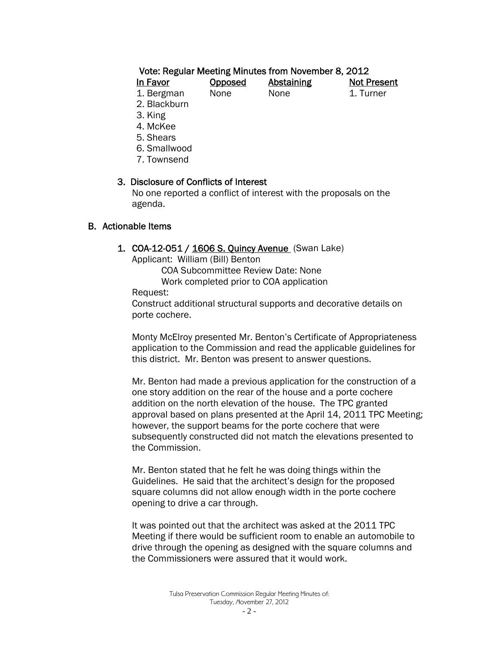#### Vote: Regular Meeting Minutes from November 8, 2012

| In Favor   | <b>Opposed</b> | <b>Abstaining</b> | <b>Not Present</b> |
|------------|----------------|-------------------|--------------------|
| 1. Bergman | <b>None</b>    | None              | 1. Turner          |
| - - -      |                |                   |                    |

2. Blackburn

3. King

- 4. McKee
- 5. Shears
- 6. Smallwood
- 7. Townsend

#### 3. Disclosure of Conflicts of Interest

 No one reported a conflict of interest with the proposals on the agenda.

#### B. Actionable Items

#### 1. COA-12-051 / 1606 S. Quincy Avenue (Swan Lake)

Applicant: William (Bill) Benton

 COA Subcommittee Review Date: None Work completed prior to COA application

Request:

Construct additional structural supports and decorative details on porte cochere.

Monty McElroy presented Mr. Benton's Certificate of Appropriateness application to the Commission and read the applicable guidelines for this district. Mr. Benton was present to answer questions.

Mr. Benton had made a previous application for the construction of a one story addition on the rear of the house and a porte cochere addition on the north elevation of the house. The TPC granted approval based on plans presented at the April 14, 2011 TPC Meeting; however, the support beams for the porte cochere that were subsequently constructed did not match the elevations presented to the Commission.

Mr. Benton stated that he felt he was doing things within the Guidelines. He said that the architect's design for the proposed square columns did not allow enough width in the porte cochere opening to drive a car through.

It was pointed out that the architect was asked at the 2011 TPC Meeting if there would be sufficient room to enable an automobile to drive through the opening as designed with the square columns and the Commissioners were assured that it would work.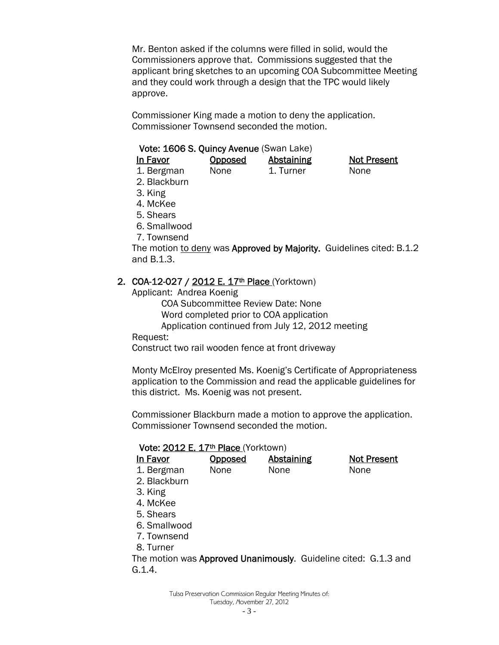Mr. Benton asked if the columns were filled in solid, would the Commissioners approve that. Commissions suggested that the applicant bring sketches to an upcoming COA Subcommittee Meeting and they could work through a design that the TPC would likely approve.

Commissioner King made a motion to deny the application. Commissioner Townsend seconded the motion.

#### Vote: 1606 S. Quincy Avenue (Swan Lake)

| In Favor   | <b>Opposed</b> | <b>Abstaining</b> | <b>Not Present</b> |  |
|------------|----------------|-------------------|--------------------|--|
| 1. Bergman | None           | 1. Turner         | <b>None</b>        |  |

- 2. Blackburn
- 3. King
- 4. McKee
- 5. Shears
- 6. Smallwood
- 7. Townsend

The motion to deny was Approved by Majority. Guidelines cited: B.1.2 and B.1.3.

#### 2. COA-12-027 / 2012 E. 17<sup>th</sup> Place (Yorktown)

Applicant: Andrea Koenig

COA Subcommittee Review Date: None

Word completed prior to COA application

Application continued from July 12, 2012 meeting

Request:

Construct two rail wooden fence at front driveway

Monty McElroy presented Ms. Koenig's Certificate of Appropriateness application to the Commission and read the applicable guidelines for this district. Ms. Koenig was not present.

Commissioner Blackburn made a motion to approve the application. Commissioner Townsend seconded the motion.

#### Vote: 2012 E. 17<sup>th</sup> Place (Yorktown)

| In Favor                                                        | <b>Opposed</b> | <b>Abstaining</b> |      | <b>Not Present</b> |
|-----------------------------------------------------------------|----------------|-------------------|------|--------------------|
| 1. Bergman                                                      | None           | None              | None |                    |
| 2. Blackburn                                                    |                |                   |      |                    |
| 3. King                                                         |                |                   |      |                    |
| 4. McKee                                                        |                |                   |      |                    |
| 5. Shears                                                       |                |                   |      |                    |
| 6. Smallwood                                                    |                |                   |      |                    |
| 7. Townsend                                                     |                |                   |      |                    |
| 8. Turner                                                       |                |                   |      |                    |
| The motion was Approved Unanimously. Guideline cited: G.1.3 and |                |                   |      |                    |
| G.1.4.                                                          |                |                   |      |                    |

Tulsa Preservation Commission Regular Meeting Minutes of: Tuesday, November 27, 2012